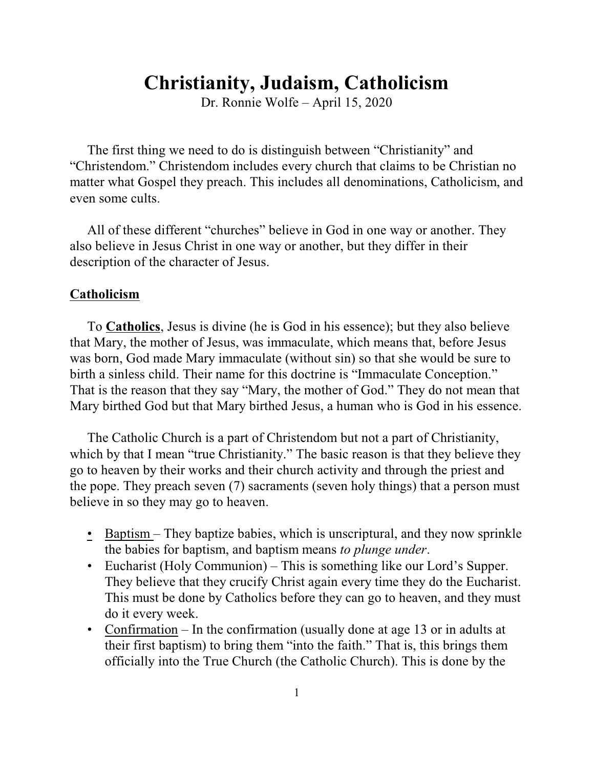# **Christianity, Judaism, Catholicism**

Dr. Ronnie Wolfe – April 15, 2020

The first thing we need to do is distinguish between "Christianity" and "Christendom." Christendom includes every church that claims to be Christian no matter what Gospel they preach. This includes all denominations, Catholicism, and even some cults.

All of these different "churches" believe in God in one way or another. They also believe in Jesus Christ in one way or another, but they differ in their description of the character of Jesus.

## **Catholicism**

To **Catholics**, Jesus is divine (he is God in his essence); but they also believe that Mary, the mother of Jesus, was immaculate, which means that, before Jesus was born, God made Mary immaculate (without sin) so that she would be sure to birth a sinless child. Their name for this doctrine is "Immaculate Conception." That is the reason that they say "Mary, the mother of God." They do not mean that Mary birthed God but that Mary birthed Jesus, a human who is God in his essence.

The Catholic Church is a part of Christendom but not a part of Christianity, which by that I mean "true Christianity." The basic reason is that they believe they go to heaven by their works and their church activity and through the priest and the pope. They preach seven (7) sacraments (seven holy things) that a person must believe in so they may go to heaven.

- Baptism They baptize babies, which is unscriptural, and they now sprinkle the babies for baptism, and baptism means *to plunge under*.
- Eucharist (Holy Communion) This is something like our Lord's Supper. They believe that they crucify Christ again every time they do the Eucharist. This must be done by Catholics before they can go to heaven, and they must do it every week.
- Confirmation In the confirmation (usually done at age 13 or in adults at their first baptism) to bring them "into the faith." That is, this brings them officially into the True Church (the Catholic Church). This is done by the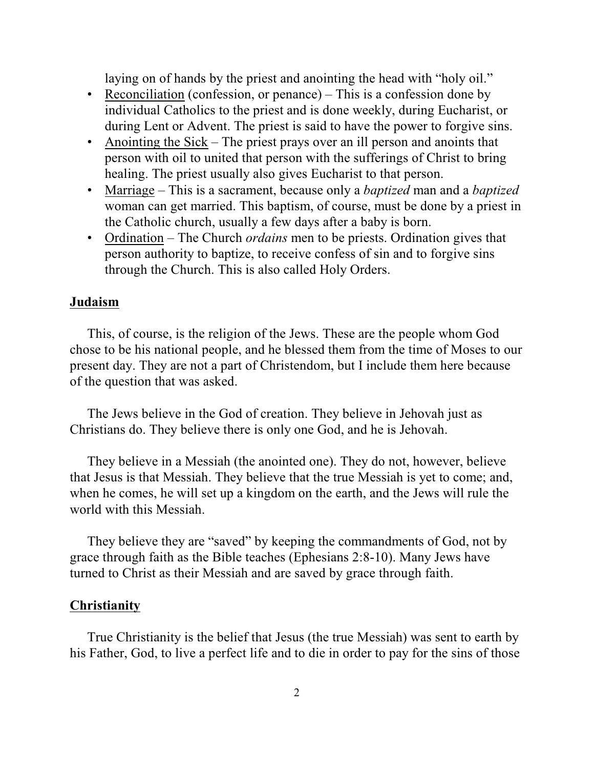laying on of hands by the priest and anointing the head with "holy oil."

- Reconciliation (confession, or penance) This is a confession done by individual Catholics to the priest and is done weekly, during Eucharist, or during Lent or Advent. The priest is said to have the power to forgive sins.
- Anointing the Sick The priest prays over an ill person and anoints that person with oil to united that person with the sufferings of Christ to bring healing. The priest usually also gives Eucharist to that person.
- Marriage This is a sacrament, because only a *baptized* man and a *baptized* woman can get married. This baptism, of course, must be done by a priest in the Catholic church, usually a few days after a baby is born.
- Ordination The Church *ordains* men to be priests. Ordination gives that person authority to baptize, to receive confess of sin and to forgive sins through the Church. This is also called Holy Orders.

#### **Judaism**

This, of course, is the religion of the Jews. These are the people whom God chose to be his national people, and he blessed them from the time of Moses to our present day. They are not a part of Christendom, but I include them here because of the question that was asked.

The Jews believe in the God of creation. They believe in Jehovah just as Christians do. They believe there is only one God, and he is Jehovah.

They believe in a Messiah (the anointed one). They do not, however, believe that Jesus is that Messiah. They believe that the true Messiah is yet to come; and, when he comes, he will set up a kingdom on the earth, and the Jews will rule the world with this Messiah.

They believe they are "saved" by keeping the commandments of God, not by grace through faith as the Bible teaches (Ephesians 2:8-10). Many Jews have turned to Christ as their Messiah and are saved by grace through faith.

#### **Christianity**

True Christianity is the belief that Jesus (the true Messiah) was sent to earth by his Father, God, to live a perfect life and to die in order to pay for the sins of those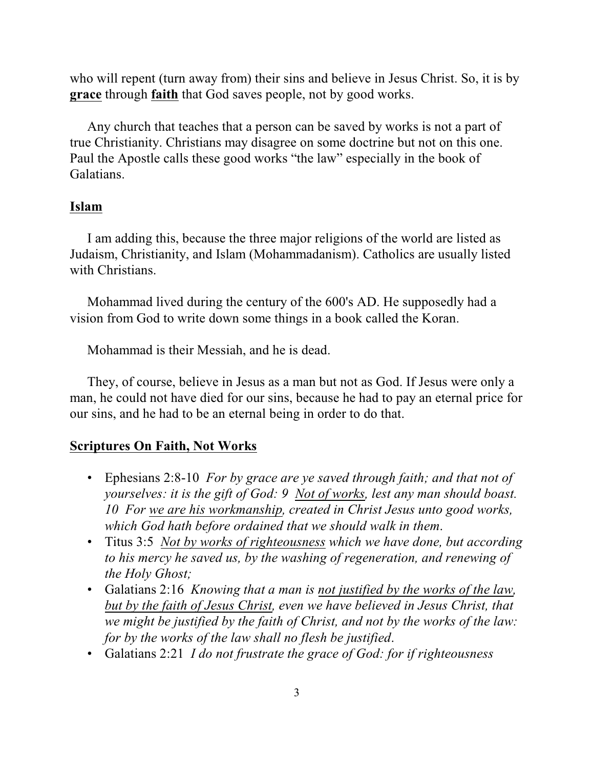who will repent (turn away from) their sins and believe in Jesus Christ. So, it is by **grace** through **faith** that God saves people, not by good works.

Any church that teaches that a person can be saved by works is not a part of true Christianity. Christians may disagree on some doctrine but not on this one. Paul the Apostle calls these good works "the law" especially in the book of Galatians.

## **Islam**

I am adding this, because the three major religions of the world are listed as Judaism, Christianity, and Islam (Mohammadanism). Catholics are usually listed with Christians.

Mohammad lived during the century of the 600's AD. He supposedly had a vision from God to write down some things in a book called the Koran.

Mohammad is their Messiah, and he is dead.

They, of course, believe in Jesus as a man but not as God. If Jesus were only a man, he could not have died for our sins, because he had to pay an eternal price for our sins, and he had to be an eternal being in order to do that.

#### **Scriptures On Faith, Not Works**

- Ephesians 2:8-10 *For by grace are ye saved through faith; and that not of yourselves: it is the gift of God: 9 Not of works, lest any man should boast. 10 For we are his workmanship, created in Christ Jesus unto good works, which God hath before ordained that we should walk in them*.
- Titus 3:5 *Not by works of righteousness which we have done, but according to his mercy he saved us, by the washing of regeneration, and renewing of the Holy Ghost;*
- Galatians 2:16 *Knowing that a man is not justified by the works of the law, but by the faith of Jesus Christ, even we have believed in Jesus Christ, that we might be justified by the faith of Christ, and not by the works of the law: for by the works of the law shall no flesh be justified*.
- Galatians 2:21 *I do not frustrate the grace of God: for if righteousness*